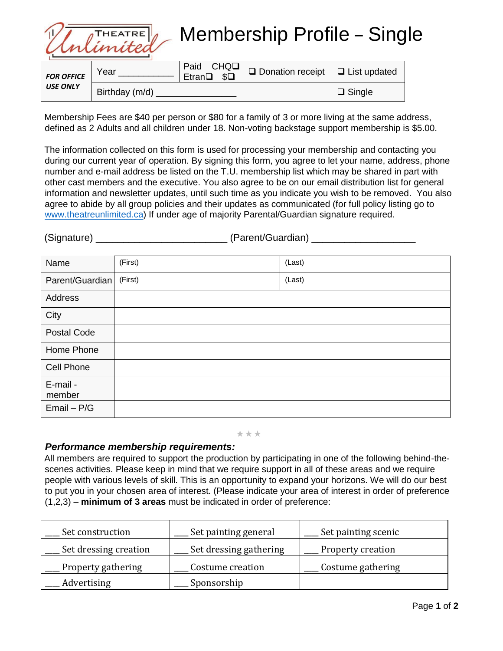

Membership Profile – Single

| <b>FOR OFFICE</b><br><b>USE ONLY</b> | Year           | Etran <sup>Q</sup> \$Q | Paid CHQ□   □ Donation receipt   □ List updated |               |
|--------------------------------------|----------------|------------------------|-------------------------------------------------|---------------|
|                                      | Birthday (m/d) |                        |                                                 | $\Box$ Single |

Membership Fees are \$40 per person or \$80 for a family of 3 or more living at the same address, defined as 2 Adults and all children under 18. Non-voting backstage support membership is \$5.00.

The information collected on this form is used for processing your membership and contacting you during our current year of operation. By signing this form, you agree to let your name, address, phone number and e-mail address be listed on the T.U. membership list which may be shared in part with other cast members and the executive. You also agree to be on our email distribution list for general information and newsletter updates, until such time as you indicate you wish to be removed. You also agree to abide by all group policies and their updates as communicated (for full policy listing go to [www.theatreunlimited.ca\)](http://www.theatreunlimited.ca/) If under age of majority Parental/Guardian signature required.

| (Signature) | (Parent/Guardian) |  |
|-------------|-------------------|--|
|             |                   |  |

| Name                    | (First) | (Last) |
|-------------------------|---------|--------|
| Parent/Guardian (First) |         | (Last) |
| Address                 |         |        |
| City                    |         |        |
| Postal Code             |         |        |
| Home Phone              |         |        |
| Cell Phone              |         |        |
| E-mail -<br>member      |         |        |
| $Email - P/G$           |         |        |

\*\*\*

## *Performance membership requirements:*

All members are required to support the production by participating in one of the following behind-thescenes activities. Please keep in mind that we require support in all of these areas and we require people with various levels of skill. This is an opportunity to expand your horizons. We will do our best to put you in your chosen area of interest. (Please indicate your area of interest in order of preference (1,2,3) – **minimum of 3 areas** must be indicated in order of preference:

| Set construction      | Set painting general   | Set painting scenic |
|-----------------------|------------------------|---------------------|
| Set dressing creation | Set dressing gathering | Property creation   |
| Property gathering    | Costume creation       | Costume gathering   |
| Advertising           | Sponsorship            |                     |